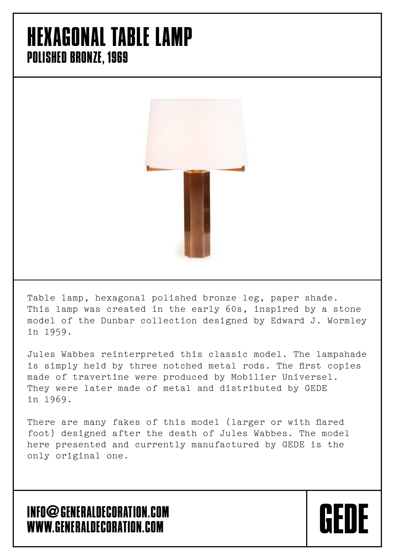### HEXAGONAL TABLE LAMP POLISHED BRONZE, 1969



Table lamp, hexagonal polished bronze leg, paper shade. This lamp was created in the early 60s, inspired by a stone model of the Dunbar collection designed by Edward J. Wormley in 1959.

Jules Wabbes reinterpreted this classic model. The lampshade is simply held by three notched metal rods. The first copies made of travertine were produced by Mobilier Universel. They were later made of metal and distributed by GEDE in 1969.

There are many fakes of this model (larger or with flared foot) designed after the death of Jules Wabbes. The model here presented and currently manufactured by GEDE is the only original one.

**CFNF** 

#### INFO**@**GENERALDECORATION.COM WWW.GENERALDECORATION.COM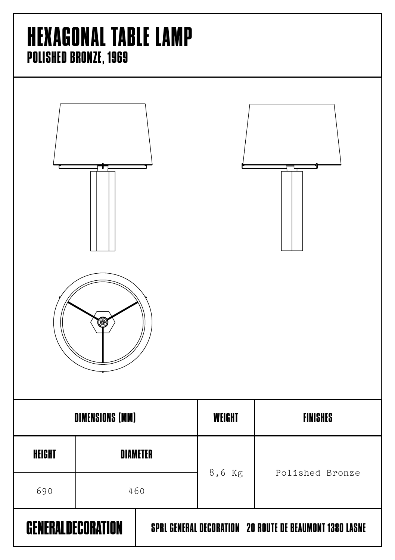### HEXAGONAL TABLE LAMP POLISHED BRONZE, 1969

| ۱                        |                 |  |                                                                |                 |  |
|--------------------------|-----------------|--|----------------------------------------------------------------|-----------------|--|
| <b>DIMENSIONS (MM)</b>   |                 |  | <b>WEIGHT</b>                                                  | <b>FINISHES</b> |  |
| <b>HEIGHT</b>            | <b>DIAMETER</b> |  | 8,6 Kg                                                         |                 |  |
| 690                      | 460             |  |                                                                | Polished Bronze |  |
| <b>GENERALDECORATION</b> |                 |  | <b>SPRL GENERAL DECORATION 20 ROUTE DE BEAUMONT 1380 LASNE</b> |                 |  |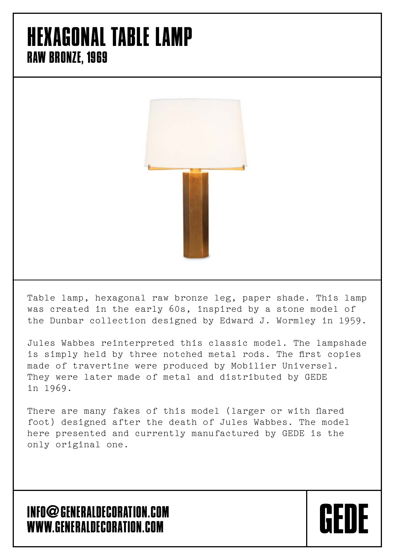### HEXAGONAL TABLE LAMP RAW BRONZE, 1969



Table lamp, hexagonal raw bronze leg, paper shade. This lamp was created in the early 60s, inspired by a stone model of the Dunbar collection designed by Edward J. Wormley in 1959.

Jules Wabbes reinterpreted this classic model. The lampshade is simply held by three notched metal rods. The first copies made of travertine were produced by Mobilier Universel. They were later made of metal and distributed by GEDE in 1969.

There are many fakes of this model (larger or with flared foot) designed after the death of Jules Wabbes. The model here presented and currently manufactured by GEDE is the only original one.

**CFNF** 

#### INFO**@**GENERALDECORATION.COM WWW.GENERALDECORATION.COM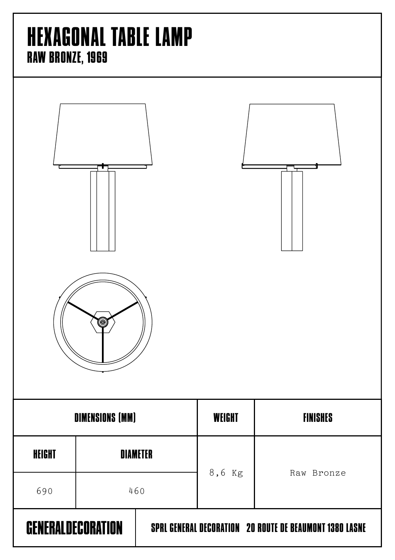# HEXAGONAL TABLE LAMP RAW BRONZE, 1969

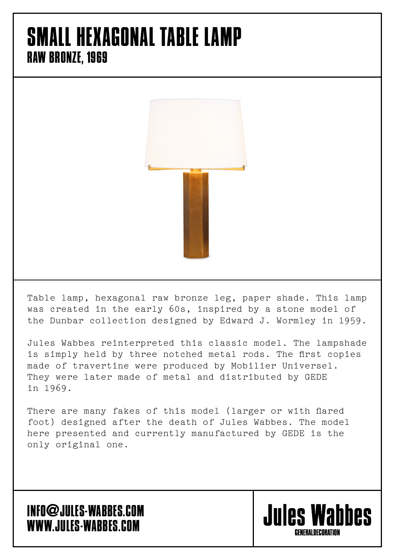### SMALL HEXAGONAL TABLE LAMP RAW BRONZE, 1969



Table lamp, hexagonal raw bronze leg, paper shade. This lamp was created in the early 60s, inspired by a stone model of the Dunbar collection designed by Edward J. Wormley in 1959.

Jules Wabbes reinterpreted this classic model. The lampshade is simply held by three notched metal rods. The first copies made of travertine were produced by Mobilier Universel. They were later made of metal and distributed by GEDE in 1969.

There are many fakes of this model (larger or with flared foot) designed after the death of Jules Wabbes. The model here presented and currently manufactured by GEDE is the only original one.

#### INFO**@**JULES-WABBES.COM WWW.JULES-WABBES.COM